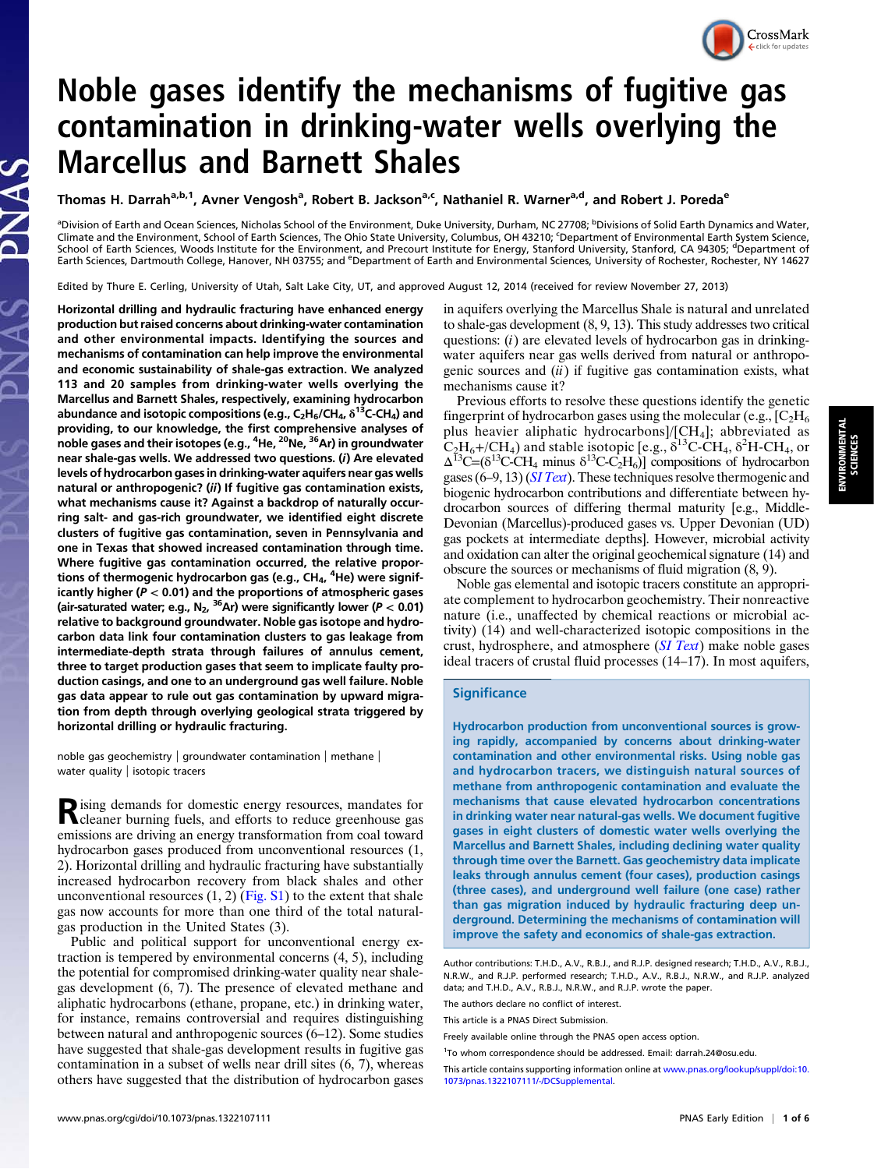## Noble gases identify the mechanisms of fugitive gas contamination in drinking-water wells overlying the Marcellus and Barnett Shales

Thomas H. Darrah<sup>a,b,1</sup>, Avner Vengosh<sup>a</sup>, Robert B. Jackson<sup>a,c</sup>, Nathaniel R. Warner<sup>a,d</sup>, and Robert J. Poreda<sup>e</sup>

<sup>a</sup>Division of Earth and Ocean Sciences, Nicholas School of the Environment, Duke University, Durham, NC 27708; <sup>b</sup>Divisions of Solid Earth Dynamics and Water, Climate and the Environment, School of Earth Sciences, The Ohio State University, Columbus, OH 43210; <sup>c</sup>Department of Environmental Earth System Science, School of Earth Sciences, Woods Institute for the Environment, and Precourt Institute for Energy, Stanford University, Stanford, CA 94305; <sup>d</sup>Department of Earth Sciences, Dartmouth College, Hanover, NH 03755; and <sup>e</sup>Department of Earth and Environmental Sciences, University of Rochester, Rochester, NY 14627

Edited by Thure E. Cerling, University of Utah, Salt Lake City, UT, and approved August 12, 2014 (received for review November 27, 2013)

Horizontal drilling and hydraulic fracturing have enhanced energy production but raised concerns about drinking-water contamination and other environmental impacts. Identifying the sources and mechanisms of contamination can help improve the environmental and economic sustainability of shale-gas extraction. We analyzed 113 and 20 samples from drinking-water wells overlying the Marcellus and Barnett Shales, respectively, examining hydrocarbon abundance and isotopic compositions (e.g.,  $C_2H_6/CH_4$ ,  $\delta^{13}C\text{-}CH_4$ ) and providing, to our knowledge, the first comprehensive analyses of noble gases and their isotopes (e.g., <sup>4</sup>He, <sup>20</sup>Ne, <sup>36</sup>Ar) in groundwater near shale-gas wells. We addressed two questions. (i) Are elevated levels of hydrocarbon gases in drinking-water aquifers near gas wells natural or anthropogenic? (ii) If fugitive gas contamination exists, what mechanisms cause it? Against a backdrop of naturally occurring salt- and gas-rich groundwater, we identified eight discrete clusters of fugitive gas contamination, seven in Pennsylvania and one in Texas that showed increased contamination through time. Where fugitive gas contamination occurred, the relative proportions of thermogenic hydrocarbon gas (e.g., CH<sub>4</sub>, <sup>4</sup>He) were significantly higher ( $P < 0.01$ ) and the proportions of atmospheric gases (air-saturated water; e.g., N<sub>2</sub>, <sup>36</sup>Ar) were significantly lower ( $P < 0.01$ ) relative to background groundwater. Noble gas isotope and hydrocarbon data link four contamination clusters to gas leakage from intermediate-depth strata through failures of annulus cement, three to target production gases that seem to implicate faulty production casings, and one to an underground gas well failure. Noble gas data appear to rule out gas contamination by upward migration from depth through overlying geological strata triggered by horizontal drilling or hydraulic fracturing.

noble gas geochemistry | groundwater contamination | methane | water quality | isotopic tracers

Rising demands for domestic energy resources, mandates for cleaner burning fuels, and efforts to reduce greenhouse gas emissions are driving an energy transformation from coal toward hydrocarbon gases produced from unconventional resources (1, 2). Horizontal drilling and hydraulic fracturing have substantially increased hydrocarbon recovery from black shales and other unconventional resources  $(1, 2)$  [\(Fig. S1](http://www.pnas.org/lookup/suppl/doi:10.1073/pnas.1322107111/-/DCSupplemental/pnas.201322107SI.pdf?targetid=nameddest=SF1)) to the extent that shale gas now accounts for more than one third of the total naturalgas production in the United States (3).

Public and political support for unconventional energy extraction is tempered by environmental concerns (4, 5), including the potential for compromised drinking-water quality near shalegas development (6, 7). The presence of elevated methane and aliphatic hydrocarbons (ethane, propane, etc.) in drinking water, for instance, remains controversial and requires distinguishing between natural and anthropogenic sources (6–12). Some studies have suggested that shale-gas development results in fugitive gas contamination in a subset of wells near drill sites (6, 7), whereas others have suggested that the distribution of hydrocarbon gases in aquifers overlying the Marcellus Shale is natural and unrelated to shale-gas development (8, 9, 13). This study addresses two critical questions: (*i*) are elevated levels of hydrocarbon gas in drinkingwater aquifers near gas wells derived from natural or anthropogenic sources and  $(ii)$  if fugitive gas contamination exists, what mechanisms cause it?

Previous efforts to resolve these questions identify the genetic fingerprint of hydrocarbon gases using the molecular (e.g.,  $[C_2H_6]$ plus heavier aliphatic hydrocarbons]/ $[CH<sub>4</sub>]$ ; abbreviated as  $C_2H_6 + / CH_4$ ) and stable isotopic [e.g.,  $\delta^{13}$ C-CH<sub>4</sub>,  $\delta^2$ H-CH<sub>4</sub>, or  $\Delta^{13}C = (\delta^{13}C \cdot CH_4 \text{ minus } \delta^{13}C \cdot C_2H_6)$ ] compositions of hydrocarbon gases (6–9, 13) ([SI Text](http://www.pnas.org/lookup/suppl/doi:10.1073/pnas.1322107111/-/DCSupplemental/pnas.201322107SI.pdf?targetid=nameddest=STXT)). These techniques resolve thermogenic and biogenic hydrocarbon contributions and differentiate between hydrocarbon sources of differing thermal maturity [e.g., Middle-Devonian (Marcellus)-produced gases vs. Upper Devonian (UD) gas pockets at intermediate depths]. However, microbial activity and oxidation can alter the original geochemical signature (14) and obscure the sources or mechanisms of fluid migration (8, 9).

Noble gas elemental and isotopic tracers constitute an appropriate complement to hydrocarbon geochemistry. Their nonreactive nature (i.e., unaffected by chemical reactions or microbial activity) (14) and well-characterized isotopic compositions in the crust, hydrosphere, and atmosphere ([SI Text](http://www.pnas.org/lookup/suppl/doi:10.1073/pnas.1322107111/-/DCSupplemental/pnas.201322107SI.pdf?targetid=nameddest=STXT)) make noble gases ideal tracers of crustal fluid processes (14–17). In most aquifers,

## **Significance**

Hydrocarbon production from unconventional sources is growing rapidly, accompanied by concerns about drinking-water contamination and other environmental risks. Using noble gas and hydrocarbon tracers, we distinguish natural sources of methane from anthropogenic contamination and evaluate the mechanisms that cause elevated hydrocarbon concentrations in drinking water near natural-gas wells. We document fugitive gases in eight clusters of domestic water wells overlying the Marcellus and Barnett Shales, including declining water quality through time over the Barnett. Gas geochemistry data implicate leaks through annulus cement (four cases), production casings (three cases), and underground well failure (one case) rather than gas migration induced by hydraulic fracturing deep underground. Determining the mechanisms of contamination will improve the safety and economics of shale-gas extraction.

The authors declare no conflict of interest.

CrossMark

Author contributions: T.H.D., A.V., R.B.J., and R.J.P. designed research; T.H.D., A.V., R.B.J., N.R.W., and R.J.P. performed research; T.H.D., A.V., R.B.J., N.R.W., and R.J.P. analyzed data; and T.H.D., A.V., R.B.J., N.R.W., and R.J.P. wrote the paper.

This article is a PNAS Direct Submission.

Freely available online through the PNAS open access option.

<sup>1</sup> To whom correspondence should be addressed. Email: [darrah.24@osu.edu](mailto:darrah.24@osu.edu).

This article contains supporting information online at [www.pnas.org/lookup/suppl/doi:10.](http://www.pnas.org/lookup/suppl/doi:10.1073/pnas.1322107111/-/DCSupplemental) [1073/pnas.1322107111/-/DCSupplemental](http://www.pnas.org/lookup/suppl/doi:10.1073/pnas.1322107111/-/DCSupplemental).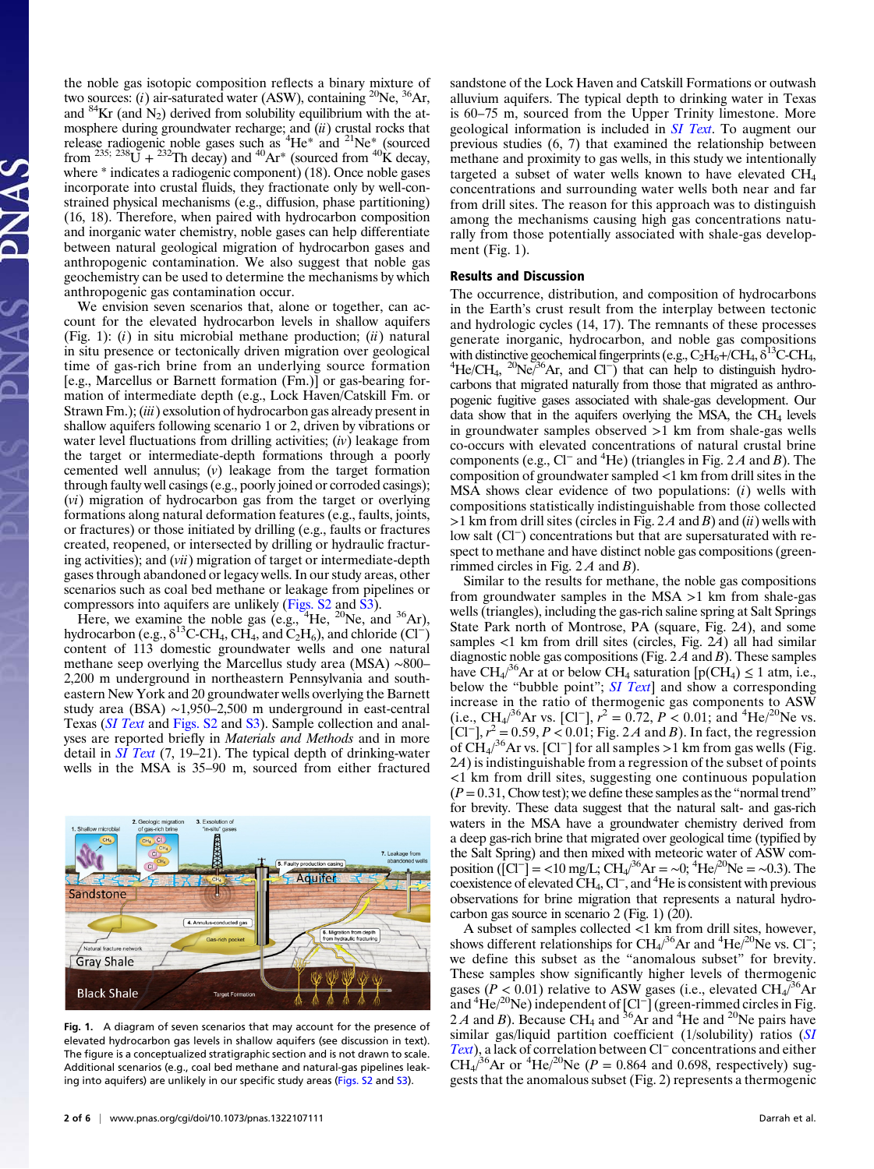the noble gas isotopic composition reflects a binary mixture of two sources: (i) air-saturated water (ASW), containing <sup>20</sup>Ne, <sup>36</sup>Ar, and  ${}^{84}\text{Kr}$  (and N<sub>2</sub>) derived from solubility equilibrium with the atmosphere during groundwater recharge; and  $(ii)$  crustal rocks that release radiogenic noble gases such as  ${}^{4}$ He $*$  and  ${}^{21}$ Ne $*$  (sourced from <sup>235; 238</sup>U + <sup>232</sup>Th decay) and <sup>40</sup>Ar<sup>\*</sup> (sourced from <sup>40</sup>K decay, where  $*$  indicates a radiogenic component) (18). Once noble gases incorporate into crustal fluids, they fractionate only by well-constrained physical mechanisms (e.g., diffusion, phase partitioning) (16, 18). Therefore, when paired with hydrocarbon composition and inorganic water chemistry, noble gases can help differentiate between natural geological migration of hydrocarbon gases and anthropogenic contamination. We also suggest that noble gas geochemistry can be used to determine the mechanisms by which anthropogenic gas contamination occur.

We envision seven scenarios that, alone or together, can account for the elevated hydrocarbon levels in shallow aquifers (Fig. 1):  $(i)$  in situ microbial methane production;  $(ii)$  natural in situ presence or tectonically driven migration over geological time of gas-rich brine from an underlying source formation [e.g., Marcellus or Barnett formation (Fm.)] or gas-bearing formation of intermediate depth (e.g., Lock Haven/Catskill Fm. or Strawn Fm.); (*iii*) exsolution of hydrocarbon gas already present in shallow aquifers following scenario 1 or 2, driven by vibrations or water level fluctuations from drilling activities;  $(iv)$  leakage from the target or intermediate-depth formations through a poorly cemented well annulus; (v) leakage from the target formation through faulty well casings (e.g., poorly joined or corroded casings); (vi) migration of hydrocarbon gas from the target or overlying formations along natural deformation features (e.g., faults, joints, or fractures) or those initiated by drilling (e.g., faults or fractures created, reopened, or intersected by drilling or hydraulic fracturing activities); and (vii) migration of target or intermediate-depth gases through abandoned or legacy wells. In our study areas, other scenarios such as coal bed methane or leakage from pipelines or

compressors into aquifers are unlikely [\(Figs. S2](http://www.pnas.org/lookup/suppl/doi:10.1073/pnas.1322107111/-/DCSupplemental/pnas.201322107SI.pdf?targetid=nameddest=SF2) and [S3](http://www.pnas.org/lookup/suppl/doi:10.1073/pnas.1322107111/-/DCSupplemental/pnas.201322107SI.pdf?targetid=nameddest=SF3)). Here, we examine the noble gas (e.g.,  ${}^{4}$ He,  ${}^{20}$ Ne, and  ${}^{36}$ Ar), hydrocarbon (e.g.,  $\delta^{13}$ C-CH<sub>4</sub>, CH<sub>4</sub>, and C<sub>2</sub>H<sub>6</sub>), and chloride (Cl<sup>−</sup>) content of 113 domestic groundwater wells and one natural methane seep overlying the Marcellus study area (MSA) ∼800– 2,200 m underground in northeastern Pennsylvania and southeastern New York and 20 groundwater wells overlying the Barnett study area (BSA) ∼1,950–2,500 m underground in east-central Texas (*[SI Text](http://www.pnas.org/lookup/suppl/doi:10.1073/pnas.1322107111/-/DCSupplemental/pnas.201322107SI.pdf?targetid=nameddest=STXT)* and [Figs. S2](http://www.pnas.org/lookup/suppl/doi:10.1073/pnas.1322107111/-/DCSupplemental/pnas.201322107SI.pdf?targetid=nameddest=SF2) and [S3](http://www.pnas.org/lookup/suppl/doi:10.1073/pnas.1322107111/-/DCSupplemental/pnas.201322107SI.pdf?targetid=nameddest=SF3)). Sample collection and analyses are reported briefly in Materials and Methods and in more detail in [SI Text](http://www.pnas.org/lookup/suppl/doi:10.1073/pnas.1322107111/-/DCSupplemental/pnas.201322107SI.pdf?targetid=nameddest=STXT) (7, 19–21). The typical depth of drinking-water wells in the MSA is 35–90 m, sourced from either fractured



Fig. 1. A diagram of seven scenarios that may account for the presence of elevated hydrocarbon gas levels in shallow aquifers (see discussion in text). The figure is a conceptualized stratigraphic section and is not drawn to scale. Additional scenarios (e.g., coal bed methane and natural-gas pipelines leak-ing into aquifers) are unlikely in our specific study areas [\(Figs. S2](http://www.pnas.org/lookup/suppl/doi:10.1073/pnas.1322107111/-/DCSupplemental/pnas.201322107SI.pdf?targetid=nameddest=SF2) and [S3](http://www.pnas.org/lookup/suppl/doi:10.1073/pnas.1322107111/-/DCSupplemental/pnas.201322107SI.pdf?targetid=nameddest=SF3)).

sandstone of the Lock Haven and Catskill Formations or outwash alluvium aquifers. The typical depth to drinking water in Texas is 60–75 m, sourced from the Upper Trinity limestone. More geological information is included in [SI Text](http://www.pnas.org/lookup/suppl/doi:10.1073/pnas.1322107111/-/DCSupplemental/pnas.201322107SI.pdf?targetid=nameddest=STXT). To augment our previous studies (6, 7) that examined the relationship between methane and proximity to gas wells, in this study we intentionally targeted a subset of water wells known to have elevated CH4 concentrations and surrounding water wells both near and far from drill sites. The reason for this approach was to distinguish among the mechanisms causing high gas concentrations naturally from those potentially associated with shale-gas development (Fig. 1).

## Results and Discussion

The occurrence, distribution, and composition of hydrocarbons in the Earth's crust result from the interplay between tectonic and hydrologic cycles (14, 17). The remnants of these processes generate inorganic, hydrocarbon, and noble gas compositions with distinctive geochemical fingerprints (e.g.,  $C_2H_6 + /CH_4$ ,  $\delta^{13}C$ -CH<sub>4</sub>, He/CH<sub>4</sub>, <sup>20</sup>Ne<sup>/36</sup>Ar, and Cl<sup>−</sup>) that can help to distinguish hydrocarbons that migrated naturally from those that migrated as anthropogenic fugitive gases associated with shale-gas development. Our data show that in the aquifers overlying the MSA, the CH<sub>4</sub> levels in groundwater samples observed >1 km from shale-gas wells co-occurs with elevated concentrations of natural crustal brine components (e.g., Cl<sup>−</sup> and <sup>4</sup>He) (triangles in Fig. 2A and B). The composition of groundwater sampled <1 km from drill sites in the  $MSA$  shows clear evidence of two populations:  $(i)$  wells with compositions statistically indistinguishable from those collected  $>1$  km from drill sites (circles in Fig. 2A and B) and (ii) wells with low salt (Cl<sup>−</sup> ) concentrations but that are supersaturated with respect to methane and have distinct noble gas compositions (greenrimmed circles in Fig.  $2A$  and B).

Similar to the results for methane, the noble gas compositions from groundwater samples in the  $MSA > 1$  km from shale-gas wells (triangles), including the gas-rich saline spring at Salt Springs State Park north of Montrose, PA (square, Fig. 2A), and some samples <1 km from drill sites (circles, Fig. 2A) all had similar diagnostic noble gas compositions (Fig.  $2A$  and B). These samples have CH<sub>4</sub><sup>36</sup>Ar at or below CH<sub>4</sub> saturation [p(CH<sub>4</sub>)  $\leq$  1 atm, i.e., below the "bubble point"; [SI Text](http://www.pnas.org/lookup/suppl/doi:10.1073/pnas.1322107111/-/DCSupplemental/pnas.201322107SI.pdf?targetid=nameddest=STXT)] and show a corresponding increase in the ratio of thermogenic gas components to ASW (i.e., CH<sub>4</sub>/<sup>36</sup>Ar vs. [Cl<sup>-</sup>],  $r^2 = 0.72$ ,  $P \le 0.01$ ; and <sup>4</sup>He/<sup>20</sup>Ne vs. [Cl<sup>-</sup>],  $r^2 = 0.59$ ,  $P < 0.01$ ; Fig. 2A and B). In fact, the regression of  $CH_4^{36}$ Ar vs. [Cl<sup>-</sup>] for all samples >1 km from gas wells (Fig. 2A) is indistinguishable from a regression of the subset of points <1 km from drill sites, suggesting one continuous population  $(P = 0.31,$  Chow test); we define these samples as the "normal trend" for brevity. These data suggest that the natural salt- and gas-rich waters in the MSA have a groundwater chemistry derived from a deep gas-rich brine that migrated over geological time (typified by the Salt Spring) and then mixed with meteoric water of ASW composition ( $\vec{[CI^-]} =$  <10 mg/L; CH<sub>4</sub><sup>36</sup>Ar = ~0; <sup>4</sup>He<sup>20</sup>Ne = ~0.3). The coexistence of elevated CH<sub>4</sub>, Cl<sup>−</sup>, and <sup>4</sup>He is consistent with previous observations for brine migration that represents a natural hydrocarbon gas source in scenario 2 (Fig. 1) (20).

A subset of samples collected <1 km from drill sites, however, shows different relationships for CH<sub>4</sub>/<sup>36</sup>Ar and <sup>4</sup>He/<sup>20</sup>Ne vs. Cl<sup>-</sup>; we define this subset as the "anomalous subset" for brevity. These samples show significantly higher levels of thermogenic gases ( $P \le 0.01$ ) relative to ASW gases (i.e., elevated CH<sub>4</sub><sup>36</sup>Ar and  ${}^{4}$ He/<sup>20</sup>Ne) independent of [Cl<sup>−</sup>] (green-rimmed circles in Fig. 2 A and B). Because CH<sub>4</sub> and <sup>36</sup>Ar and <sup>4</sup>He and <sup>20</sup>Ne pairs have similar gas/liquid partition coefficient (1/solubility) ratios ([SI](http://www.pnas.org/lookup/suppl/doi:10.1073/pnas.1322107111/-/DCSupplemental/pnas.201322107SI.pdf?targetid=nameddest=STXT) [Text](http://www.pnas.org/lookup/suppl/doi:10.1073/pnas.1322107111/-/DCSupplemental/pnas.201322107SI.pdf?targetid=nameddest=STXT)), a lack of correlation between Cl<sup>−</sup> concentrations and either CH<sub>4</sub><sup>36</sup>Ar or <sup>4</sup>He<sup> $/20$ </sup>Ne (P = 0.864 and 0.698, respectively) suggests that the anomalous subset (Fig. 2) represents a thermogenic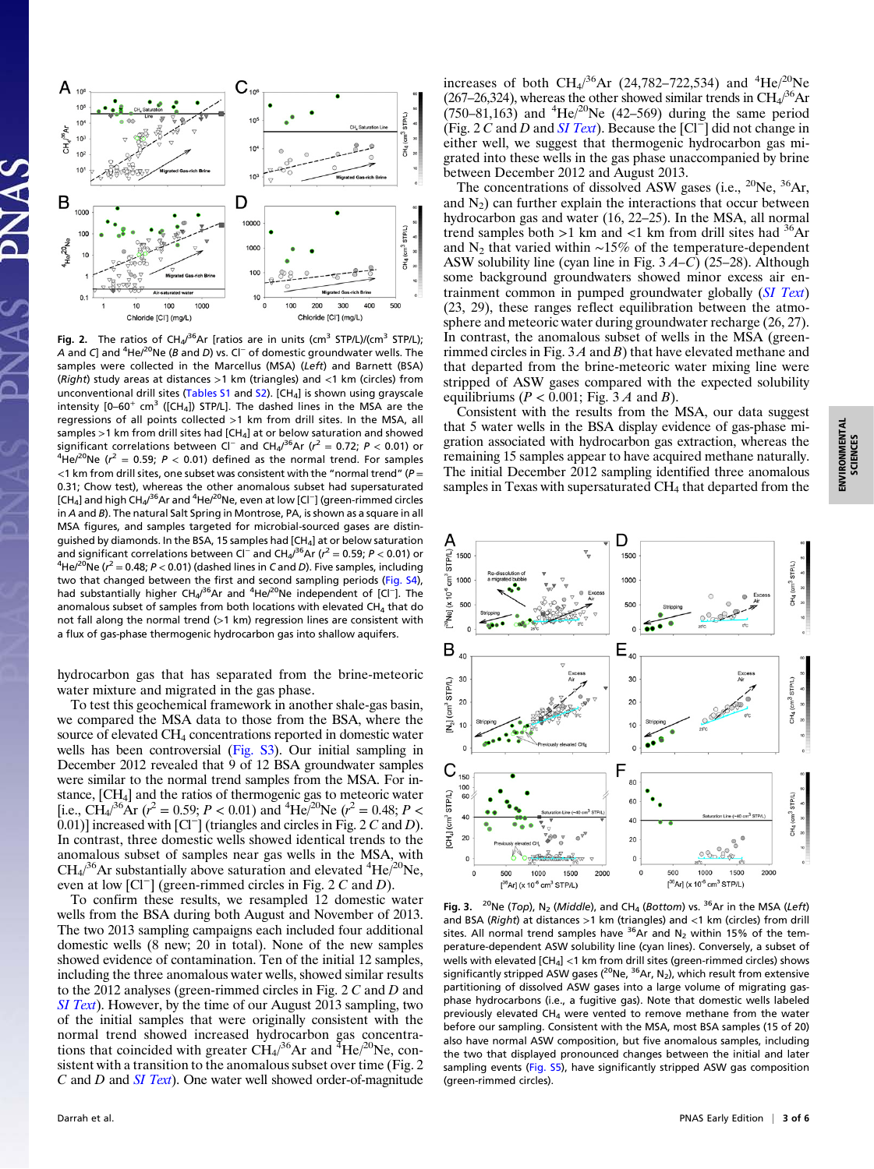

Fig. 2. The ratios of CH<sub>4</sub>/<sup>36</sup>Ar [ratios are in units (cm<sup>3</sup> STP/L)/(cm<sup>3</sup> STP/L); A and C] and <sup>4</sup>He/<sup>20</sup>Ne (*B* and *D*) vs. Cl<sup>−</sup> of domestic groundwater wells. The samples were collected in the Marcellus (MSA) (Left) and Barnett (BSA) (Right) study areas at distances >1 km (triangles) and <1 km (circles) from unconventional drill sites ([Tables S1](http://www.pnas.org/lookup/suppl/doi:10.1073/pnas.1322107111/-/DCSupplemental/pnas.1322107111.st01.docx) and [S2\)](http://www.pnas.org/lookup/suppl/doi:10.1073/pnas.1322107111/-/DCSupplemental/pnas.1322107111.st01.docx).  $[CH_4]$  is shown using grayscale intensity  $[0-60^+$  cm<sup>3</sup> ([CH<sub>4</sub>]) STP/L]. The dashed lines in the MSA are the regressions of all points collected >1 km from drill sites. In the MSA, all samples  $>1$  km from drill sites had [CH<sub>4</sub>] at or below saturation and showed significant correlations between Cl $^-$  and CH<sub>4</sub>/<sup>36</sup>Ar ( $r^2 = 0.72$ ;  $P < 0.01$ ) or <sup>4</sup>He/<sup>20</sup>Ne ( $r^2 = 0.59$ ;  $P < 0.01$ ) defined as the normal trend. For samples  $<$  1 km from drill sites, one subset was consistent with the "normal trend" (P = 0.31; Chow test), whereas the other anomalous subset had supersaturated [CH<sub>4</sub>] and high CH<sub>4</sub>/<sup>36</sup>Ar and <sup>4</sup>He/<sup>20</sup>Ne, even at low [Cl<sup>−</sup>] (green-rimmed circles in A and B). The natural Salt Spring in Montrose, PA, is shown as a square in all MSA figures, and samples targeted for microbial-sourced gases are distinguished by diamonds. In the BSA, 15 samples had [CH<sub>4</sub>] at or below saturation and significant correlations between Cl<sup>−</sup> and CH<sub>4</sub>/<sup>36</sup>Ar ( $r^2 = 0.59$ ; P < 0.01) or <sup>4</sup>He/<sup>20</sup>Ne ( $r^2$  = 0.48; P < 0.01) (dashed lines in C and D). Five samples, including two that changed between the first and second sampling periods [\(Fig. S4](http://www.pnas.org/lookup/suppl/doi:10.1073/pnas.1322107111/-/DCSupplemental/pnas.201322107SI.pdf?targetid=nameddest=SF4)), had substantially higher CH4<sup>/36</sup>Ar and <sup>4</sup>He/<sup>20</sup>Ne independent of [Cl<sup>−</sup>]. The anomalous subset of samples from both locations with elevated CH<sub>4</sub> that do not fall along the normal trend (>1 km) regression lines are consistent with a flux of gas-phase thermogenic hydrocarbon gas into shallow aquifers.

hydrocarbon gas that has separated from the brine-meteoric water mixture and migrated in the gas phase.

To test this geochemical framework in another shale-gas basin, we compared the MSA data to those from the BSA, where the source of elevated CH4 concentrations reported in domestic water wells has been controversial ([Fig. S3](http://www.pnas.org/lookup/suppl/doi:10.1073/pnas.1322107111/-/DCSupplemental/pnas.201322107SI.pdf?targetid=nameddest=SF3)). Our initial sampling in December 2012 revealed that  $\frac{9}{9}$  of 12 BSA groundwater samples were similar to the normal trend samples from the MSA. For instance, [CH4] and the ratios of thermogenic gas to meteoric water [i.e.,  $\overrightarrow{CH_4}^{36}$ Ar ( $r^2 = 0.59$ ;  $P < 0.01$ ) and <sup>4</sup>He/<sup>20</sup>Ne ( $r^2 = 0.48$ ;  $P <$ 0.01)] increased with [Cl<sup>−</sup>] (triangles and circles in Fig. 2 C and D). In contrast, three domestic wells showed identical trends to the anomalous subset of samples near gas wells in the MSA, with  $CH_4$ <sup>36</sup>Ar substantially above saturation and elevated <sup>4</sup>He<sup> $/20$ </sup>Ne, even at low [Cl−] (green-rimmed circles in Fig. 2 C and D).

To confirm these results, we resampled 12 domestic water wells from the BSA during both August and November of 2013. The two 2013 sampling campaigns each included four additional domestic wells (8 new; 20 in total). None of the new samples showed evidence of contamination. Ten of the initial 12 samples, including the three anomalous water wells, showed similar results to the 2012 analyses (green-rimmed circles in Fig. 2 C and D and [SI Text](http://www.pnas.org/lookup/suppl/doi:10.1073/pnas.1322107111/-/DCSupplemental/pnas.201322107SI.pdf?targetid=nameddest=STXT)). However, by the time of our August 2013 sampling, two of the initial samples that were originally consistent with the normal trend showed increased hydrocarbon gas concentrations that coincided with greater  $\tilde{CH}_4^{36}$ Ar and  ${}^{4}$ He/<sup>20</sup>Ne, consistent with a transition to the anomalous subset over time (Fig. 2  $C$  and  $D$  and  $SI$  Text). One water well showed order-of-magnitude

increases of both CH<sub>4</sub><sup>36</sup>Ar (24,782–722,534) and <sup>4</sup>He<sup> $/20$ </sup>Ne (267–26,324), whereas the other showed similar trends in  $CH_4^{36}Ar$  $(750-81,163)$  and <sup>4</sup>He/<sup>20</sup>Ne (42–569) during the same period (Fig. 2 C and D and [SI Text](http://www.pnas.org/lookup/suppl/doi:10.1073/pnas.1322107111/-/DCSupplemental/pnas.201322107SI.pdf?targetid=nameddest=STXT)). Because the [Cl−] did not change in either well, we suggest that thermogenic hydrocarbon gas migrated into these wells in the gas phase unaccompanied by brine between December 2012 and August 2013.

The concentrations of dissolved ASW gases (i.e.,  $^{20}$ Ne,  $^{36}$ Ar, and  $N_2$ ) can further explain the interactions that occur between hydrocarbon gas and water (16, 22–25). In the MSA, all normal trend samples both  $>1$  km and  $<1$  km from drill sites had <sup>36</sup>Ar and N2 that varied within ∼15% of the temperature-dependent ASW solubility line (cyan line in Fig. 3 A–C) (25–28). Although some background groundwaters showed minor excess air entrainment common in pumped groundwater globally ([SI Text](http://www.pnas.org/lookup/suppl/doi:10.1073/pnas.1322107111/-/DCSupplemental/pnas.201322107SI.pdf?targetid=nameddest=STXT)) (23, 29), these ranges reflect equilibration between the atmosphere and meteoric water during groundwater recharge (26, 27). In contrast, the anomalous subset of wells in the MSA (greenrimmed circles in Fig.  $3A$  and B) that have elevated methane and that departed from the brine-meteoric water mixing line were stripped of ASW gases compared with the expected solubility equilibriums ( $P < 0.001$ ; Fig. 3 A and B).

Consistent with the results from the MSA, our data suggest that 5 water wells in the BSA display evidence of gas-phase migration associated with hydrocarbon gas extraction, whereas the remaining 15 samples appear to have acquired methane naturally. The initial December 2012 sampling identified three anomalous samples in Texas with supersaturated CH<sub>4</sub> that departed from the



Fig. 3. <sup>20</sup>Ne (Top), N<sub>2</sub> (Middle), and CH<sub>4</sub> (Bottom) vs. <sup>36</sup>Ar in the MSA (Left) and BSA (Right) at distances >1 km (triangles) and <1 km (circles) from drill sites. All normal trend samples have  $36Ar$  and N<sub>2</sub> within 15% of the temperature-dependent ASW solubility line (cyan lines). Conversely, a subset of wells with elevated  $[CH_4]$  <1 km from drill sites (green-rimmed circles) shows significantly stripped ASW gases ( $^{20}$ Ne,  $^{36}$ Ar, N<sub>2</sub>), which result from extensive partitioning of dissolved ASW gases into a large volume of migrating gasphase hydrocarbons (i.e., a fugitive gas). Note that domestic wells labeled previously elevated  $CH_4$  were vented to remove methane from the water before our sampling. Consistent with the MSA, most BSA samples (15 of 20) also have normal ASW composition, but five anomalous samples, including the two that displayed pronounced changes between the initial and later sampling events [\(Fig. S5\)](http://www.pnas.org/lookup/suppl/doi:10.1073/pnas.1322107111/-/DCSupplemental/pnas.201322107SI.pdf?targetid=nameddest=SF5), have significantly stripped ASW gas composition (green-rimmed circles).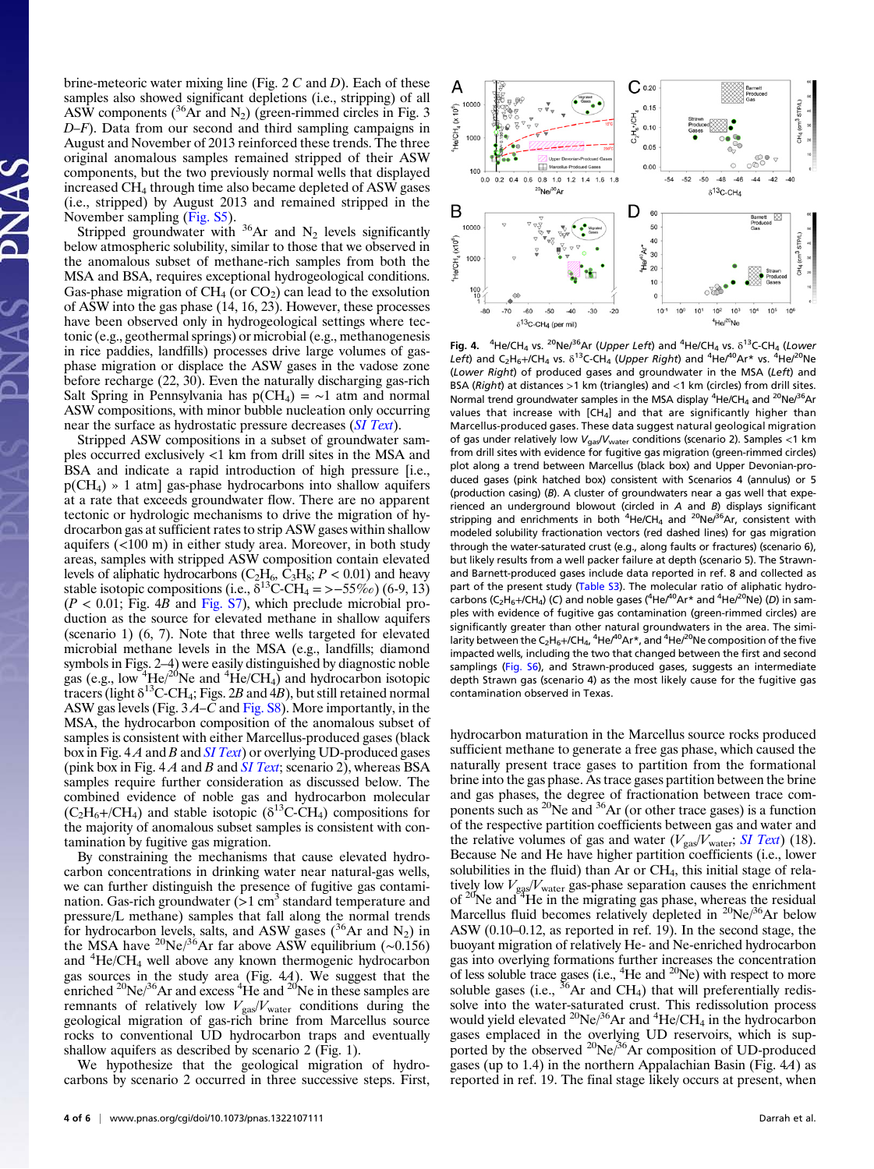brine-meteoric water mixing line (Fig.  $2 C$  and D). Each of these samples also showed significant depletions (i.e., stripping) of all ASW components ( ${}^{36}Ar$  and N<sub>2</sub>) (green-rimmed circles in Fig. 3) D–F). Data from our second and third sampling campaigns in August and November of 2013 reinforced these trends. The three original anomalous samples remained stripped of their ASW components, but the two previously normal wells that displayed increased CH4 through time also became depleted of ASW gases (i.e., stripped) by August 2013 and remained stripped in the November sampling ([Fig. S5\)](http://www.pnas.org/lookup/suppl/doi:10.1073/pnas.1322107111/-/DCSupplemental/pnas.201322107SI.pdf?targetid=nameddest=SF5).

Stripped groundwater with  $36Ar$  and N<sub>2</sub> levels significantly below atmospheric solubility, similar to those that we observed in the anomalous subset of methane-rich samples from both the MSA and BSA, requires exceptional hydrogeological conditions. Gas-phase migration of  $CH_4$  (or  $CO_2$ ) can lead to the exsolution of ASW into the gas phase (14, 16, 23). However, these processes have been observed only in hydrogeological settings where tectonic (e.g., geothermal springs) or microbial (e.g., methanogenesis in rice paddies, landfills) processes drive large volumes of gasphase migration or displace the ASW gases in the vadose zone before recharge (22, 30). Even the naturally discharging gas-rich Salt Spring in Pennsylvania has  $p(CH_4) = \sim 1$  atm and normal ASW compositions, with minor bubble nucleation only occurring near the surface as hydrostatic pressure decreases ([SI Text](http://www.pnas.org/lookup/suppl/doi:10.1073/pnas.1322107111/-/DCSupplemental/pnas.201322107SI.pdf?targetid=nameddest=STXT)).

Stripped ASW compositions in a subset of groundwater samples occurred exclusively <1 km from drill sites in the MSA and BSA and indicate a rapid introduction of high pressure [i.e.,  $p(CH_4) \gg 1$  atm] gas-phase hydrocarbons into shallow aquifers at a rate that exceeds groundwater flow. There are no apparent tectonic or hydrologic mechanisms to drive the migration of hydrocarbon gas at sufficient rates to strip ASW gases within shallow aquifers (<100 m) in either study area. Moreover, in both study areas, samples with stripped ASW composition contain elevated levels of aliphatic hydrocarbons ( $C_2H_6$ ,  $C_3H_8$ ;  $P < 0.01$ ) and heavy stable isotopic compositions (i.e.,  $\delta^{13}$ C-CH<sub>4</sub> = >−55‰) (6-9, 13)  $(P < 0.01$ ; Fig. 4B and [Fig. S7\)](http://www.pnas.org/lookup/suppl/doi:10.1073/pnas.1322107111/-/DCSupplemental/pnas.201322107SI.pdf?targetid=nameddest=SF7), which preclude microbial production as the source for elevated methane in shallow aquifers (scenario 1) (6, 7). Note that three wells targeted for elevated microbial methane levels in the MSA (e.g., landfills; diamond symbols in Figs. 2–4) were easily distinguished by diagnostic noble gas (e.g., low  $^{4}$ He/<sup>20</sup>Ne and  $^{4}$ He/CH<sub>4</sub>) and hydrocarbon isotopic tracers (light  $\delta^{13}$ C-CH<sub>4</sub>; Figs. 2B and  $\overline{4B}$ ), but still retained normal ASW gas levels (Fig. 3 A–C and [Fig. S8](http://www.pnas.org/lookup/suppl/doi:10.1073/pnas.1322107111/-/DCSupplemental/pnas.201322107SI.pdf?targetid=nameddest=SF8)). More importantly, in the MSA, the hydrocarbon composition of the anomalous subset of samples is consistent with either Marcellus-produced gases (black box in Fig.  $4A$  and B and [SI Text](http://www.pnas.org/lookup/suppl/doi:10.1073/pnas.1322107111/-/DCSupplemental/pnas.201322107SI.pdf?targetid=nameddest=STXT)) or overlying UD-produced gases (pink box in Fig.  $4A$  and B and [SI Text](http://www.pnas.org/lookup/suppl/doi:10.1073/pnas.1322107111/-/DCSupplemental/pnas.201322107SI.pdf?targetid=nameddest=STXT); scenario 2), whereas BSA samples require further consideration as discussed below. The combined evidence of noble gas and hydrocarbon molecular  $(C_2H_6+/CH_4)$  and stable isotopic ( $\delta^{13}C\text{-}CH_4$ ) compositions for the majority of anomalous subset samples is consistent with contamination by fugitive gas migration.

By constraining the mechanisms that cause elevated hydrocarbon concentrations in drinking water near natural-gas wells, we can further distinguish the presence of fugitive gas contamination. Gas-rich groundwater  $(1 cm<sup>3</sup>$  standard temperature and pressure/L methane) samples that fall along the normal trends for hydrocarbon levels, salts, and ASW gases ( $36Ar$  and N<sub>2</sub>) in the MSA have <sup>20</sup>Ne/<sup>36</sup>Ar far above ASW equilibrium (~0.156) and <sup>4</sup>He/CH<sub>4</sub> well above any known thermogenic hydrocarbon gas sources in the study area (Fig. 4A). We suggest that the enriched <sup>20</sup>Ne/<sup>36</sup>Ar and excess <sup>4</sup>He and <sup>20</sup>Ne in these samples are remnants of relatively low  $V_{\text{gas}}/V_{\text{water}}$  conditions during the geological migration of gas-rich brine from Marcellus source rocks to conventional UD hydrocarbon traps and eventually shallow aquifers as described by scenario 2 (Fig. 1).

We hypothesize that the geological migration of hydrocarbons by scenario 2 occurred in three successive steps. First,



Fig. 4.  $4H$ e/CH<sub>4</sub> vs.  $20\text{Ne}/36\text{Ar}$  (Upper Left) and  $4H$ e/CH<sub>4</sub> vs.  $\delta^{13}$ C-CH<sub>4</sub> (Lower Left) and C<sub>2</sub>H<sub>6</sub>+/CH<sub>4</sub> vs.  $\delta^{13}$ C-CH<sub>4</sub> (Upper Right) and <sup>4</sup>He/<sup>40</sup>Ar\* vs. <sup>4</sup>He/<sup>20</sup>Ne (Lower Right) of produced gases and groundwater in the MSA (Left) and BSA (Right) at distances >1 km (triangles) and <1 km (circles) from drill sites. Normal trend groundwater samples in the MSA display  ${}^{4}$ He/CH<sub>4</sub> and  ${}^{20}$ Ne/ ${}^{36}$ Ar values that increase with  $[CH_4]$  and that are significantly higher than Marcellus-produced gases. These data suggest natural geological migration of gas under relatively low  $V_{\text{gas}}/V_{\text{water}}$  conditions (scenario 2). Samples <1 km from drill sites with evidence for fugitive gas migration (green-rimmed circles) plot along a trend between Marcellus (black box) and Upper Devonian-produced gases (pink hatched box) consistent with Scenarios 4 (annulus) or 5 (production casing) (B). A cluster of groundwaters near a gas well that experienced an underground blowout (circled in A and B) displays significant stripping and enrichments in both  ${}^{4}$ He/CH<sub>4</sub> and  ${}^{20}$ Ne/ ${}^{36}$ Ar, consistent with modeled solubility fractionation vectors (red dashed lines) for gas migration through the water-saturated crust (e.g., along faults or fractures) (scenario 6), but likely results from a well packer failure at depth (scenario 5). The Strawnand Barnett-produced gases include data reported in ref. 8 and collected as part of the present study [\(Table S3\)](http://www.pnas.org/lookup/suppl/doi:10.1073/pnas.1322107111/-/DCSupplemental/pnas.1322107111.st01.docx). The molecular ratio of aliphatic hydrocarbons (C<sub>2</sub>H<sub>6</sub>+/CH<sub>4</sub>) (C) and noble gases (<sup>4</sup>He/<sup>40</sup>Ar\* and <sup>4</sup>He/<sup>20</sup>Ne) (D) in samples with evidence of fugitive gas contamination (green-rimmed circles) are significantly greater than other natural groundwaters in the area. The similarity between the C<sub>2</sub>H<sub>6</sub>+/CH<sub>4</sub>, <sup>4</sup>He/<sup>40</sup>Ar\*, and <sup>4</sup>He/<sup>20</sup>Ne composition of the five impacted wells, including the two that changed between the first and second samplings [\(Fig. S6](http://www.pnas.org/lookup/suppl/doi:10.1073/pnas.1322107111/-/DCSupplemental/pnas.201322107SI.pdf?targetid=nameddest=SF6)), and Strawn-produced gases, suggests an intermediate depth Strawn gas (scenario 4) as the most likely cause for the fugitive gas contamination observed in Texas.

hydrocarbon maturation in the Marcellus source rocks produced sufficient methane to generate a free gas phase, which caused the naturally present trace gases to partition from the formational brine into the gas phase. As trace gases partition between the brine and gas phases, the degree of fractionation between trace components such as  $^{20}$ Ne and  $^{36}$ Ar (or other trace gases) is a function of the respective partition coefficients between gas and water and the relative volumes of gas and water ( $V_{\text{gas}}/V_{\text{water}}$ ; [SI Text](http://www.pnas.org/lookup/suppl/doi:10.1073/pnas.1322107111/-/DCSupplemental/pnas.201322107SI.pdf?targetid=nameddest=STXT)) (18). Because Ne and He have higher partition coefficients (i.e., lower solubilities in the fluid) than Ar or  $CH<sub>4</sub>$ , this initial stage of relatively low  $V_{\text{gas}}/V_{\text{water}}$  gas-phase separation causes the enrichment of  $2^{0}$ Ne and  $4^{4}$ He in the migrating gas phase, whereas the residual Marcellus fluid becomes relatively depleted in  $^{20}Ne/^{36}Ar$  below ASW (0.10–0.12, as reported in ref. 19). In the second stage, the buoyant migration of relatively He- and Ne-enriched hydrocarbon gas into overlying formations further increases the concentration of less soluble trace gases (i.e., <sup>4</sup>He and <sup>20</sup>Ne) with respect to more soluble gases (i.e.,  $36$ Ar and CH<sub>4</sub>) that will preferentially redissolve into the water-saturated crust. This redissolution process<br>would yield elevated <sup>20</sup>Ne/<sup>36</sup>Ar and <sup>4</sup>He/CH<sub>4</sub> in the hydrocarbon gases emplaced in the overlying UD reservoirs, which is supported by the observed <sup>20</sup>Ne/<sup>36</sup>Ar composition of UD-produced gases (up to 1.4) in the northern Appalachian Basin (Fig. 4A) as reported in ref. 19. The final stage likely occurs at present, when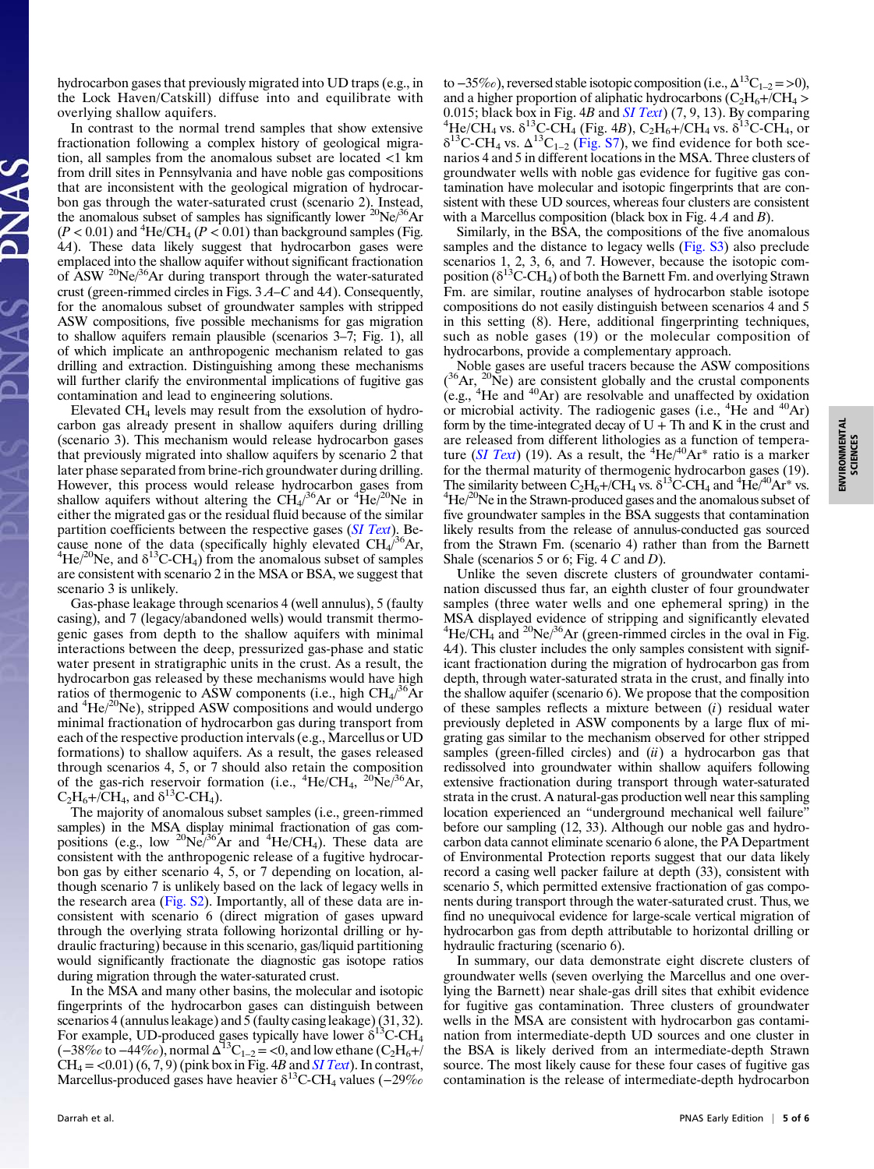hydrocarbon gases that previously migrated into UD traps (e.g., in the Lock Haven/Catskill) diffuse into and equilibrate with overlying shallow aquifers.

In contrast to the normal trend samples that show extensive fractionation following a complex history of geological migration, all samples from the anomalous subset are located <1 km from drill sites in Pennsylvania and have noble gas compositions that are inconsistent with the geological migration of hydrocarbon gas through the water-saturated crust (scenario 2). Instead, the anomalous subset of samples has significantly lower  $20\text{Ne}/36\text{Ar}$  $(P < 0.01)$  and <sup>4</sup>He/CH<sub>4</sub> ( $P < 0.01$ ) than background samples (Fig. 4A). These data likely suggest that hydrocarbon gases were emplaced into the shallow aquifer without significant fractionation of ASW 20Ne/36Ar during transport through the water-saturated crust (green-rimmed circles in Figs. 3 A–C and 4A). Consequently, for the anomalous subset of groundwater samples with stripped ASW compositions, five possible mechanisms for gas migration to shallow aquifers remain plausible (scenarios 3–7; Fig. 1), all of which implicate an anthropogenic mechanism related to gas drilling and extraction. Distinguishing among these mechanisms will further clarify the environmental implications of fugitive gas contamination and lead to engineering solutions.

Elevated CH4 levels may result from the exsolution of hydrocarbon gas already present in shallow aquifers during drilling (scenario 3). This mechanism would release hydrocarbon gases that previously migrated into shallow aquifers by scenario 2 that later phase separated from brine-rich groundwater during drilling. However, this process would release hydrocarbon gases from shallow aquifers without altering the  $\tilde{CH}_4^{36}$ Ar or  ${}^{4}He/{}^{20}$ Ne in either the migrated gas or the residual fluid because of the similar partition coefficients between the respective gases  $(SI \text{ Text})$ . Because none of the data (specifically highly elevated  $\text{CH}_4^{36}\text{Ar}$ ,  $^{4}\text{He}/^{20}\text{Ne}$  and  $\delta^{13}\text{C}$  CH a) from the anomalous subset of samples  ${}^{4}$ He/<sup>20</sup>Ne, and  $\delta {}^{13}$ C-CH<sub>4</sub>) from the anomalous subset of samples are consistent with scenario 2 in the MSA or BSA, we suggest that scenario 3 is unlikely.

Gas-phase leakage through scenarios 4 (well annulus), 5 (faulty casing), and 7 (legacy/abandoned wells) would transmit thermogenic gases from depth to the shallow aquifers with minimal interactions between the deep, pressurized gas-phase and static water present in stratigraphic units in the crust. As a result, the hydrocarbon gas released by these mechanisms would have high ratios of thermogenic to ASW components (i.e., high  $CH_4^{36}$ Ar and <sup>4</sup>He/<sup>20</sup>Ne), stripped ASW compositions and would undergo minimal fractionation of hydrocarbon gas during transport from each of the respective production intervals (e.g., Marcellus or UD formations) to shallow aquifers. As a result, the gases released through scenarios 4, 5, or 7 should also retain the composition of the gas-rich reservoir formation (i.e.,  ${}^{4}$ He/CH<sub>4</sub>,  ${}^{20}$ Ne/<sup>36</sup>Ar,  $C_2H_6 + \overline{C}H_4$ , and  $\delta^{13}C$ -CH<sub>4</sub>).

The majority of anomalous subset samples (i.e., green-rimmed samples) in the MSA display minimal fractionation of gas compositions (e.g., low <sup>20</sup>Ne<sup> $/36$ </sup>Ar and <sup>4</sup>He/CH<sub>4</sub>). These data are consistent with the anthropogenic release of a fugitive hydrocarbon gas by either scenario 4, 5, or 7 depending on location, although scenario 7 is unlikely based on the lack of legacy wells in the research area [\(Fig. S2\)](http://www.pnas.org/lookup/suppl/doi:10.1073/pnas.1322107111/-/DCSupplemental/pnas.201322107SI.pdf?targetid=nameddest=SF2). Importantly, all of these data are inconsistent with scenario 6 (direct migration of gases upward through the overlying strata following horizontal drilling or hydraulic fracturing) because in this scenario, gas/liquid partitioning would significantly fractionate the diagnostic gas isotope ratios during migration through the water-saturated crust.

In the MSA and many other basins, the molecular and isotopic fingerprints of the hydrocarbon gases can distinguish between scenarios 4 (annulus leakage) and 5 (faulty casing leakage) (31, 32).<br>For example, UD-produced gases typically have lower δ<sup>13</sup>C-CH<sub>4</sub>  $(-38\% \text{ to } -44\% \text{)}$ , normal  $\Delta^{13}C_{1-2} = 0$ , and low ethane  $(C_2H_6 + \text{)}$  $CH_4 = 0.01$  (6, 7, 9) (pink box in Fig. 4B and *[SI Text](http://www.pnas.org/lookup/suppl/doi:10.1073/pnas.1322107111/-/DCSupplemental/pnas.201322107SI.pdf?targetid=nameddest=STXT)*). In contrast, Marcellus-produced gases have heavier  $\delta^{13}$ C-CH<sub>4</sub> values (-29‰

to −35‰), reversed stable isotopic composition (i.e.,  $Δ^{13}C_{1-2} = >0$ ), and a higher proportion of aliphatic hydrocarbons ( $C_2H_6 + /CH_4$  > 0.015; black box in Fig. 4B and  $SI$  Text) (7, 9, 13). By comparing  $^{4}$ He/CH<sub>4</sub> vs.  $\delta^{13}$ C-CH<sub>4</sub> (Fig. 4B), C<sub>2</sub>H<sub>6</sub>+/CH<sub>4</sub> vs.  $\delta^{13}$ C-CH<sub>4</sub>, or  $\delta^{13}$ C-CH<sub>4</sub> vs.  $\Delta^{13}$ C<sub>1–2</sub> [\(Fig. S7\)](http://www.pnas.org/lookup/suppl/doi:10.1073/pnas.1322107111/-/DCSupplemental/pnas.201322107SI.pdf?targetid=nameddest=SF7), we find evidence for both scenarios 4 and 5 in different locations in the MSA. Three clusters of groundwater wells with noble gas evidence for fugitive gas contamination have molecular and isotopic fingerprints that are consistent with these UD sources, whereas four clusters are consistent with a Marcellus composition (black box in Fig.  $4A$  and B).

Similarly, in the BSA, the compositions of the five anomalous samples and the distance to legacy wells ([Fig. S3\)](http://www.pnas.org/lookup/suppl/doi:10.1073/pnas.1322107111/-/DCSupplemental/pnas.201322107SI.pdf?targetid=nameddest=SF3) also preclude scenarios 1, 2, 3, 6, and 7. However, because the isotopic composition ( $\delta^{13}$ C-CH<sub>4</sub>) of both the Barnett Fm. and overlying Strawn Fm. are similar, routine analyses of hydrocarbon stable isotope compositions do not easily distinguish between scenarios 4 and 5 in this setting (8). Here, additional fingerprinting techniques, such as noble gases (19) or the molecular composition of hydrocarbons, provide a complementary approach.

Noble gases are useful tracers because the ASW compositions  $(36Ar, 20Ne)$  are consistent globally and the crustal components  $(e.g., <sup>4</sup>He and <sup>40</sup>Ar)$  are resolvable and unaffected by oxidation or microbial activity. The radiogenic gases (i.e.,  ${}^{4}$ He and  ${}^{40}$ Ar) form by the time-integrated decay of  $U + Th$  and K in the crust and are released from different lithologies as a function of temperature (*[SI Text](http://www.pnas.org/lookup/suppl/doi:10.1073/pnas.1322107111/-/DCSupplemental/pnas.201322107SI.pdf?targetid=nameddest=STXT)*) (19). As a result, the  ${}^{4}$ He/ ${}^{40}$ Ar<sup>\*</sup> ratio is a marker for the thermal maturity of thermogenic hydrocarbon gases (19). The similarity between  $\dot{C}_2H_6 + /CH_4$  vs.  $\delta^{13}\dot{C}_1CH_4$  and  ${}^4\dot{H}e/{}^{40}\text{Ar}^*$  vs.  $^{4}$ He $/20$ Ne in the Strawn-produced gases and the anomalous subset of five groundwater samples in the BSA suggests that contamination likely results from the release of annulus-conducted gas sourced from the Strawn Fm. (scenario 4) rather than from the Barnett Shale (scenarios 5 or 6; Fig. 4 C and D).

Unlike the seven discrete clusters of groundwater contamination discussed thus far, an eighth cluster of four groundwater samples (three water wells and one ephemeral spring) in the MSA displayed evidence of stripping and significantly elevated  ${}^{4}$ He/CH<sub>4</sub> and <sup>20</sup>Ne/<sup>36</sup>Ar (green-rimmed circles in the oval in Fig. 4A). This cluster includes the only samples consistent with significant fractionation during the migration of hydrocarbon gas from depth, through water-saturated strata in the crust, and finally into the shallow aquifer (scenario 6). We propose that the composition of these samples reflects a mixture between  $(i)$  residual water previously depleted in ASW components by a large flux of migrating gas similar to the mechanism observed for other stripped samples (green-filled circles) and  $(ii)$  a hydrocarbon gas that redissolved into groundwater within shallow aquifers following extensive fractionation during transport through water-saturated strata in the crust. A natural-gas production well near this sampling location experienced an "underground mechanical well failure" before our sampling (12, 33). Although our noble gas and hydrocarbon data cannot eliminate scenario 6 alone, the PA Department of Environmental Protection reports suggest that our data likely record a casing well packer failure at depth (33), consistent with scenario 5, which permitted extensive fractionation of gas components during transport through the water-saturated crust. Thus, we find no unequivocal evidence for large-scale vertical migration of hydrocarbon gas from depth attributable to horizontal drilling or hydraulic fracturing (scenario 6).

In summary, our data demonstrate eight discrete clusters of groundwater wells (seven overlying the Marcellus and one overlying the Barnett) near shale-gas drill sites that exhibit evidence for fugitive gas contamination. Three clusters of groundwater wells in the MSA are consistent with hydrocarbon gas contamination from intermediate-depth UD sources and one cluster in the BSA is likely derived from an intermediate-depth Strawn source. The most likely cause for these four cases of fugitive gas contamination is the release of intermediate-depth hydrocarbon